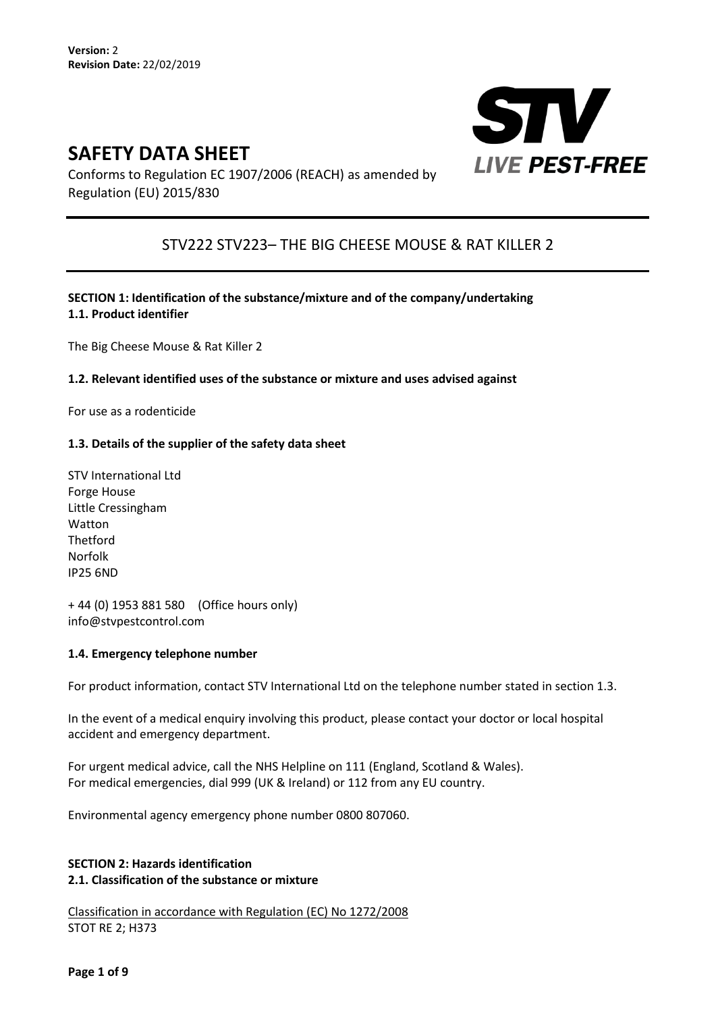# **SAFETY DATA SHEET**



Conforms to Regulation EC 1907/2006 (REACH) as amended by Regulation (EU) 2015/830

# STV222 STV223– THE BIG CHEESE MOUSE & RAT KILLER 2

**SECTION 1: Identification of the substance/mixture and of the company/undertaking 1.1. Product identifier** 

The Big Cheese Mouse & Rat Killer 2

#### **1.2. Relevant identified uses of the substance or mixture and uses advised against**

For use as a rodenticide

#### **1.3. Details of the supplier of the safety data sheet**

STV International Ltd Forge House Little Cressingham Watton Thetford Norfolk IP25 6ND

+ 44 (0) 1953 881 580 (Office hours only) info@stvpestcontrol.com

#### **1.4. Emergency telephone number**

For product information, contact STV International Ltd on the telephone number stated in section 1.3.

In the event of a medical enquiry involving this product, please contact your doctor or local hospital accident and emergency department.

For urgent medical advice, call the NHS Helpline on 111 (England, Scotland & Wales). For medical emergencies, dial 999 (UK & Ireland) or 112 from any EU country.

Environmental agency emergency phone number 0800 807060.

# **SECTION 2: Hazards identification 2.1. Classification of the substance or mixture**

Classification in accordance with Regulation (EC) No 1272/2008 STOT RE 2; H373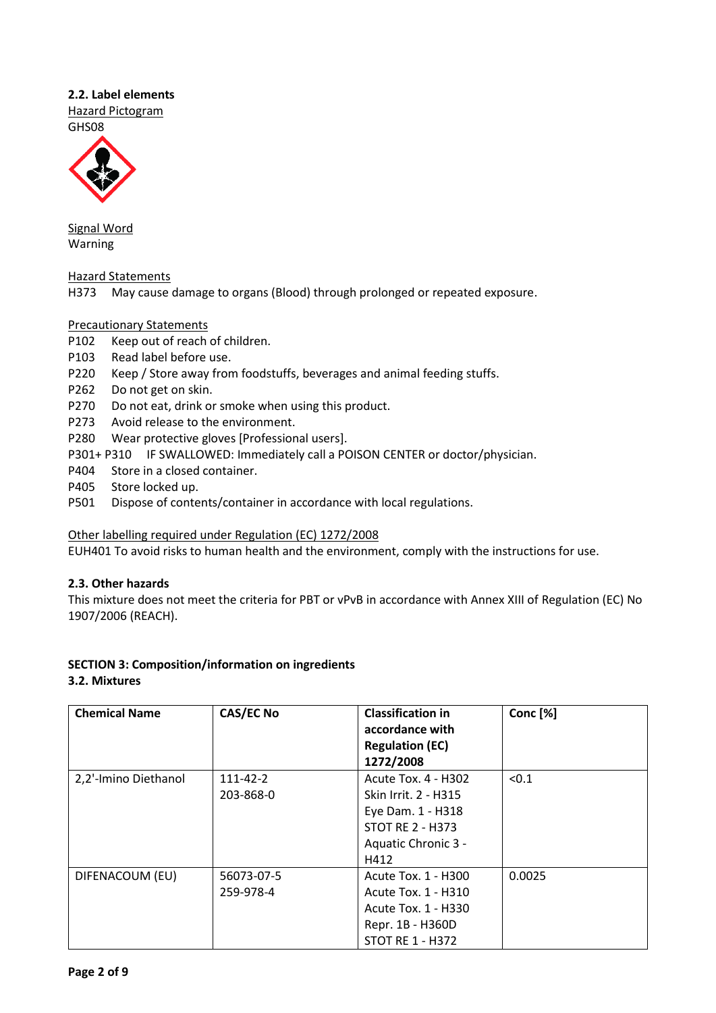### **2.2. Label elements**

Hazard Pictogram GHS08



Signal Word Warning

Hazard Statements

H373 May cause damage to organs (Blood) through prolonged or repeated exposure.

# Precautionary Statements

- P102 Keep out of reach of children.
- P103 Read label before use.
- P220 Keep / Store away from foodstuffs, beverages and animal feeding stuffs.
- P262 Do not get on skin.
- P270 Do not eat, drink or smoke when using this product.
- P273 Avoid release to the environment.
- P280 Wear protective gloves [Professional users].
- P301+ P310 IF SWALLOWED: Immediately call a POISON CENTER or doctor/physician.
- P404 Store in a closed container.
- P405 Store locked up.
- P501 Dispose of contents/container in accordance with local regulations.

#### Other labelling required under Regulation (EC) 1272/2008

EUH401 To avoid risks to human health and the environment, comply with the instructions for use.

# **2.3. Other hazards**

This mixture does not meet the criteria for PBT or vPvB in accordance with Annex XIII of Regulation (EC) No 1907/2006 (REACH).

# **SECTION 3: Composition/information on ingredients**

#### **3.2. Mixtures**

| <b>Chemical Name</b> | <b>CAS/EC No</b>        | <b>Classification in</b><br>accordance with<br><b>Regulation (EC)</b><br>1272/2008                                         | Conc <sup>[%]</sup> |
|----------------------|-------------------------|----------------------------------------------------------------------------------------------------------------------------|---------------------|
| 2,2'-Imino Diethanol | 111-42-2<br>203-868-0   | Acute Tox. 4 - H302<br>Skin Irrit. 2 - H315<br>Eye Dam. 1 - H318<br><b>STOT RE 2 - H373</b><br>Aquatic Chronic 3 -<br>H412 | < 0.1               |
| DIFENACOUM (EU)      | 56073-07-5<br>259-978-4 | Acute Tox. 1 - H300<br>Acute Tox. 1 - H310<br>Acute Tox. 1 - H330<br>Repr. 1B - H360D<br><b>STOT RE 1 - H372</b>           | 0.0025              |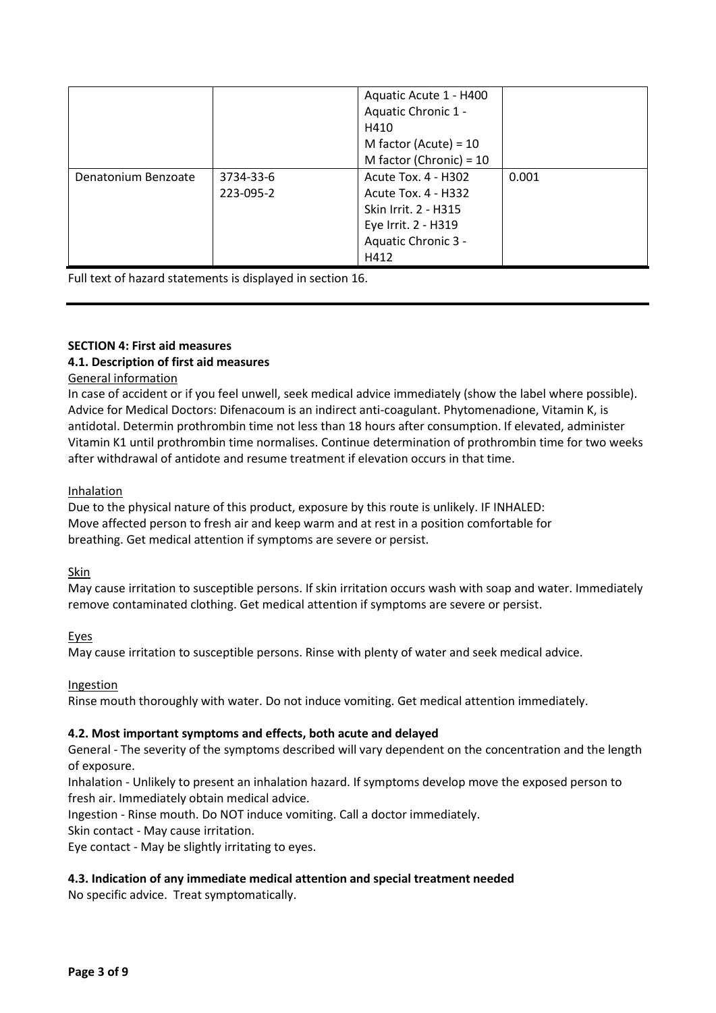|                     |           | Aquatic Acute 1 - H400<br>Aquatic Chronic 1 -<br>H410<br>M factor (Acute) = $10$<br>M factor (Chronic) = 10 |       |
|---------------------|-----------|-------------------------------------------------------------------------------------------------------------|-------|
|                     |           |                                                                                                             |       |
| Denatonium Benzoate | 3734-33-6 | Acute Tox. 4 - H302                                                                                         | 0.001 |
|                     | 223-095-2 | Acute Tox. 4 - H332                                                                                         |       |
|                     |           | Skin Irrit. 2 - H315                                                                                        |       |
|                     |           | Eye Irrit. 2 - H319                                                                                         |       |
|                     |           | Aquatic Chronic 3 -                                                                                         |       |
|                     |           | H412                                                                                                        |       |

Full text of hazard statements is displayed in section 16.

# **SECTION 4: First aid measures**

# **4.1. Description of first aid measures**

### General information

In case of accident or if you feel unwell, seek medical advice immediately (show the label where possible). Advice for Medical Doctors: Difenacoum is an indirect anti-coagulant. Phytomenadione, Vitamin K, is antidotal. Determin prothrombin time not less than 18 hours after consumption. If elevated, administer Vitamin K1 until prothrombin time normalises. Continue determination of prothrombin time for two weeks after withdrawal of antidote and resume treatment if elevation occurs in that time.

#### Inhalation

Due to the physical nature of this product, exposure by this route is unlikely. IF INHALED: Move affected person to fresh air and keep warm and at rest in a position comfortable for breathing. Get medical attention if symptoms are severe or persist.

#### Skin

May cause irritation to susceptible persons. If skin irritation occurs wash with soap and water. Immediately remove contaminated clothing. Get medical attention if symptoms are severe or persist.

Eyes

May cause irritation to susceptible persons. Rinse with plenty of water and seek medical advice.

Ingestion

Rinse mouth thoroughly with water. Do not induce vomiting. Get medical attention immediately.

# **4.2. Most important symptoms and effects, both acute and delayed**

General - The severity of the symptoms described will vary dependent on the concentration and the length of exposure.

Inhalation - Unlikely to present an inhalation hazard. If symptoms develop move the exposed person to fresh air. Immediately obtain medical advice.

Ingestion - Rinse mouth. Do NOT induce vomiting. Call a doctor immediately.

Skin contact - May cause irritation.

Eye contact - May be slightly irritating to eyes.

# **4.3. Indication of any immediate medical attention and special treatment needed**

No specific advice. Treat symptomatically.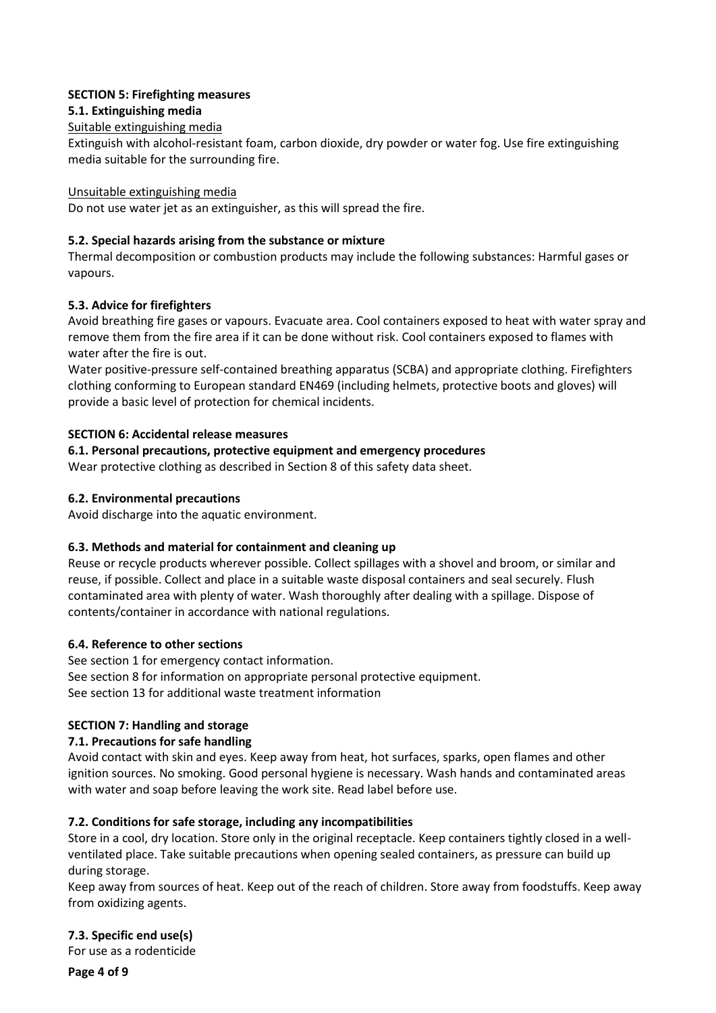### **SECTION 5: Firefighting measures**

### **5.1. Extinguishing media**

### Suitable extinguishing media

Extinguish with alcohol-resistant foam, carbon dioxide, dry powder or water fog. Use fire extinguishing media suitable for the surrounding fire.

#### Unsuitable extinguishing media

Do not use water jet as an extinguisher, as this will spread the fire.

### **5.2. Special hazards arising from the substance or mixture**

Thermal decomposition or combustion products may include the following substances: Harmful gases or vapours.

### **5.3. Advice for firefighters**

Avoid breathing fire gases or vapours. Evacuate area. Cool containers exposed to heat with water spray and remove them from the fire area if it can be done without risk. Cool containers exposed to flames with water after the fire is out.

Water positive-pressure self-contained breathing apparatus (SCBA) and appropriate clothing. Firefighters clothing conforming to European standard EN469 (including helmets, protective boots and gloves) will provide a basic level of protection for chemical incidents.

### **SECTION 6: Accidental release measures**

### **6.1. Personal precautions, protective equipment and emergency procedures**

Wear protective clothing as described in Section 8 of this safety data sheet.

#### **6.2. Environmental precautions**

Avoid discharge into the aquatic environment.

#### **6.3. Methods and material for containment and cleaning up**

Reuse or recycle products wherever possible. Collect spillages with a shovel and broom, or similar and reuse, if possible. Collect and place in a suitable waste disposal containers and seal securely. Flush contaminated area with plenty of water. Wash thoroughly after dealing with a spillage. Dispose of contents/container in accordance with national regulations.

#### **6.4. Reference to other sections**

See section 1 for emergency contact information. See section 8 for information on appropriate personal protective equipment. See section 13 for additional waste treatment information

#### **SECTION 7: Handling and storage**

# **7.1. Precautions for safe handling**

Avoid contact with skin and eyes. Keep away from heat, hot surfaces, sparks, open flames and other ignition sources. No smoking. Good personal hygiene is necessary. Wash hands and contaminated areas with water and soap before leaving the work site. Read label before use.

#### **7.2. Conditions for safe storage, including any incompatibilities**

Store in a cool, dry location. Store only in the original receptacle. Keep containers tightly closed in a wellventilated place. Take suitable precautions when opening sealed containers, as pressure can build up during storage.

Keep away from sources of heat. Keep out of the reach of children. Store away from foodstuffs. Keep away from oxidizing agents.

**7.3. Specific end use(s)** 

For use as a rodenticide

**Page 4 of 9**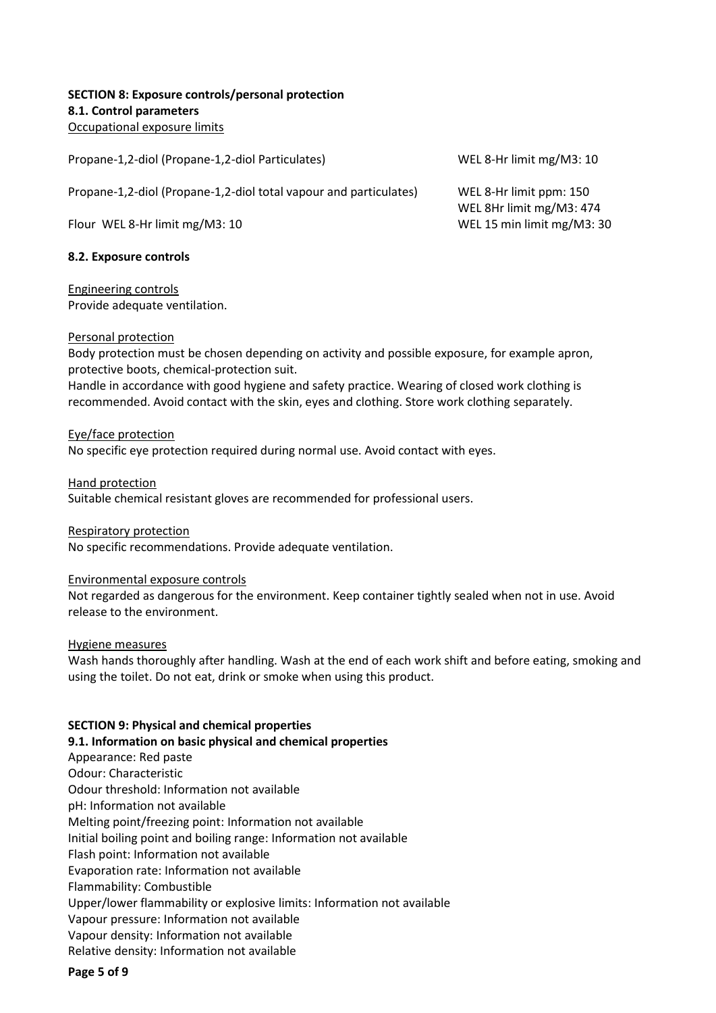#### **SECTION 8: Exposure controls/personal protection 8.1. Control parameters**  Occupational exposure limits

Propane-1,2-diol (Propane-1,2-diol Particulates) WEL 8-Hr limit mg/M3: 10

Propane-1,2-diol (Propane-1,2-diol total vapour and particulates) WEL 8-Hr limit ppm: 150

Flour WEL 8-Hr limit mg/M3: 10 WEL 15 min limit mg/M3: 30

#### **8.2. Exposure controls**

Engineering controls

Provide adequate ventilation.

#### Personal protection

Body protection must be chosen depending on activity and possible exposure, for example apron, protective boots, chemical-protection suit.

Handle in accordance with good hygiene and safety practice. Wearing of closed work clothing is recommended. Avoid contact with the skin, eyes and clothing. Store work clothing separately.

Eye/face protection

No specific eye protection required during normal use. Avoid contact with eyes.

Hand protection Suitable chemical resistant gloves are recommended for professional users.

Respiratory protection No specific recommendations. Provide adequate ventilation.

#### Environmental exposure controls

Not regarded as dangerous for the environment. Keep container tightly sealed when not in use. Avoid release to the environment.

Hygiene measures

Wash hands thoroughly after handling. Wash at the end of each work shift and before eating, smoking and using the toilet. Do not eat, drink or smoke when using this product.

#### **SECTION 9: Physical and chemical properties**

**9.1. Information on basic physical and chemical properties** 

Appearance: Red paste

Odour: Characteristic

Odour threshold: Information not available

pH: Information not available

Melting point/freezing point: Information not available

Initial boiling point and boiling range: Information not available

Flash point: Information not available

Evaporation rate: Information not available

Flammability: Combustible

Upper/lower flammability or explosive limits: Information not available

Vapour pressure: Information not available

Vapour density: Information not available

Relative density: Information not available

**Page 5 of 9**

WEL 8Hr limit mg/M3: 474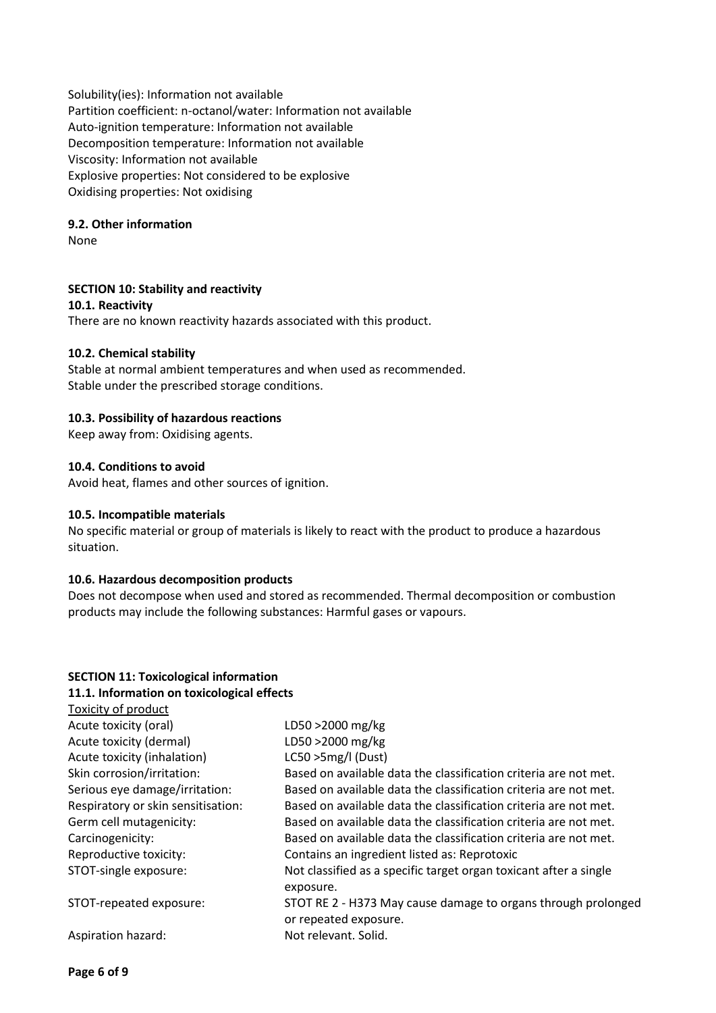Solubility(ies): Information not available Partition coefficient: n-octanol/water: Information not available Auto-ignition temperature: Information not available Decomposition temperature: Information not available Viscosity: Information not available Explosive properties: Not considered to be explosive Oxidising properties: Not oxidising

#### **9.2. Other information**

None

#### **SECTION 10: Stability and reactivity**

**10.1. Reactivity** 

There are no known reactivity hazards associated with this product.

#### **10.2. Chemical stability**

Stable at normal ambient temperatures and when used as recommended. Stable under the prescribed storage conditions.

#### **10.3. Possibility of hazardous reactions**

Keep away from: Oxidising agents.

#### **10.4. Conditions to avoid**

Avoid heat, flames and other sources of ignition.

#### **10.5. Incompatible materials**

No specific material or group of materials is likely to react with the product to produce a hazardous situation.

#### **10.6. Hazardous decomposition products**

Does not decompose when used and stored as recommended. Thermal decomposition or combustion products may include the following substances: Harmful gases or vapours.

#### **SECTION 11: Toxicological information 11.1. Information on toxicological effects**

| Toxicity of product                |                                                                                        |
|------------------------------------|----------------------------------------------------------------------------------------|
| Acute toxicity (oral)              | LD50 >2000 mg/kg                                                                       |
| Acute toxicity (dermal)            | LD50 >2000 mg/kg                                                                       |
| Acute toxicity (inhalation)        | LC50 >5mg/l (Dust)                                                                     |
| Skin corrosion/irritation:         | Based on available data the classification criteria are not met.                       |
| Serious eye damage/irritation:     | Based on available data the classification criteria are not met.                       |
| Respiratory or skin sensitisation: | Based on available data the classification criteria are not met.                       |
| Germ cell mutagenicity:            | Based on available data the classification criteria are not met.                       |
| Carcinogenicity:                   | Based on available data the classification criteria are not met.                       |
| Reproductive toxicity:             | Contains an ingredient listed as: Reprotoxic                                           |
| STOT-single exposure:              | Not classified as a specific target organ toxicant after a single<br>exposure.         |
| STOT-repeated exposure:            | STOT RE 2 - H373 May cause damage to organs through prolonged<br>or repeated exposure. |
| Aspiration hazard:                 | Not relevant. Solid.                                                                   |
|                                    |                                                                                        |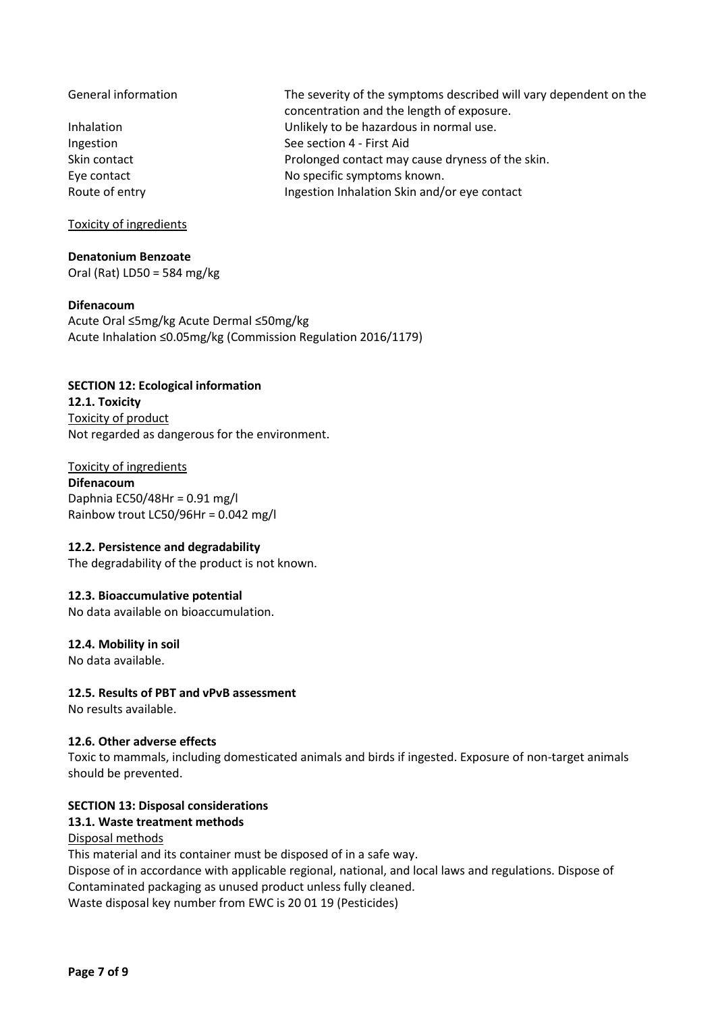General information The severity of the symptoms described will vary dependent on the concentration and the length of exposure. Inhalation Unlikely to be hazardous in normal use. Ingestion See section 4 - First Aid Skin contact **Prolonged contact may cause dryness of the skin.** Eye contact **No specific symptoms known.** Route of entry **Ingestion Inhalation Skin and/or eye contact** 

Toxicity of ingredients

**Denatonium Benzoate**  Oral (Rat) LD50 = 584 mg/kg

#### **Difenacoum**

Acute Oral ≤5mg/kg Acute Dermal ≤50mg/kg Acute Inhalation ≤0.05mg/kg (Commission Regulation 2016/1179)

# **SECTION 12: Ecological information**

**12.1. Toxicity**  Toxicity of product Not regarded as dangerous for the environment.

Toxicity of ingredients **Difenacoum**  Daphnia EC50/48Hr = 0.91 mg/l Rainbow trout LC50/96Hr = 0.042 mg/l

#### **12.2. Persistence and degradability**

The degradability of the product is not known.

#### **12.3. Bioaccumulative potential**

No data available on bioaccumulation.

#### **12.4. Mobility in soil**

No data available.

#### **12.5. Results of PBT and vPvB assessment**

No results available.

#### **12.6. Other adverse effects**

Toxic to mammals, including domesticated animals and birds if ingested. Exposure of non-target animals should be prevented.

#### **SECTION 13: Disposal considerations**

### **13.1. Waste treatment methods**

#### Disposal methods

This material and its container must be disposed of in a safe way.

Dispose of in accordance with applicable regional, national, and local laws and regulations. Dispose of Contaminated packaging as unused product unless fully cleaned.

Waste disposal key number from EWC is 20 01 19 (Pesticides)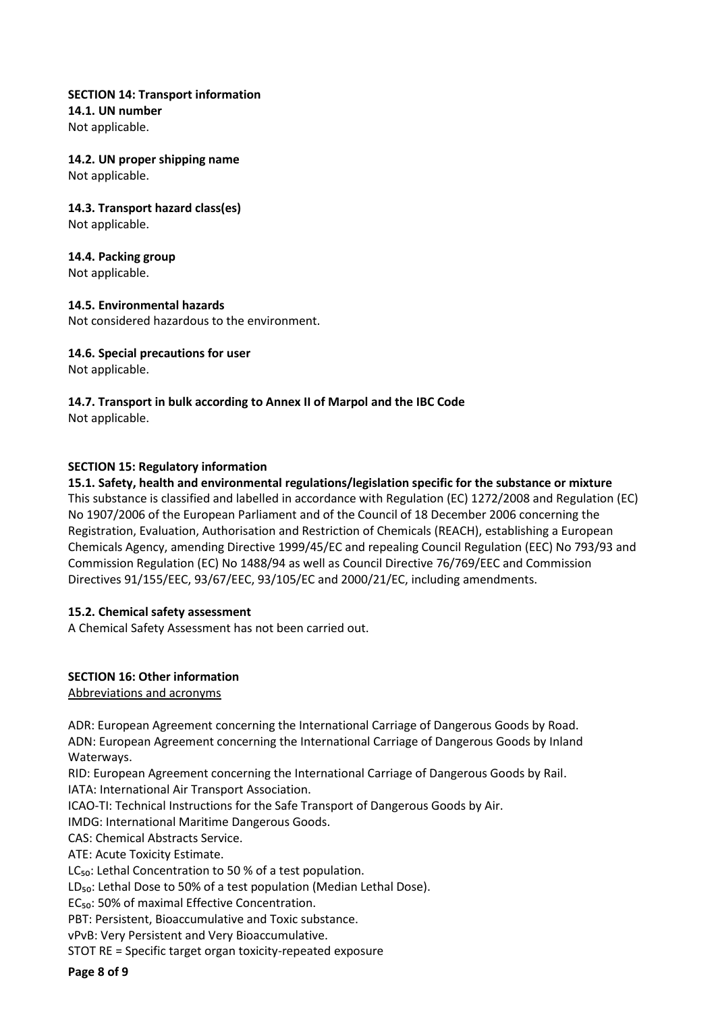**SECTION 14: Transport information 14.1. UN number**  Not applicable.

**14.2. UN proper shipping name**  Not applicable.

**14.3. Transport hazard class(es)**  Not applicable.

**14.4. Packing group**  Not applicable.

**14.5. Environmental hazards**  Not considered hazardous to the environment.

**14.6. Special precautions for user**

Not applicable.

**14.7. Transport in bulk according to Annex II of Marpol and the IBC Code**  Not applicable.

### **SECTION 15: Regulatory information**

#### **15.1. Safety, health and environmental regulations/legislation specific for the substance or mixture**

This substance is classified and labelled in accordance with Regulation (EC) 1272/2008 and Regulation (EC) No 1907/2006 of the European Parliament and of the Council of 18 December 2006 concerning the Registration, Evaluation, Authorisation and Restriction of Chemicals (REACH), establishing a European Chemicals Agency, amending Directive 1999/45/EC and repealing Council Regulation (EEC) No 793/93 and Commission Regulation (EC) No 1488/94 as well as Council Directive 76/769/EEC and Commission Directives 91/155/EEC, 93/67/EEC, 93/105/EC and 2000/21/EC, including amendments.

#### **15.2. Chemical safety assessment**

A Chemical Safety Assessment has not been carried out.

# **SECTION 16: Other information**

Abbreviations and acronyms

ADR: European Agreement concerning the International Carriage of Dangerous Goods by Road. ADN: European Agreement concerning the International Carriage of Dangerous Goods by Inland Waterways.

RID: European Agreement concerning the International Carriage of Dangerous Goods by Rail. IATA: International Air Transport Association.

ICAO-TI: Technical Instructions for the Safe Transport of Dangerous Goods by Air.

IMDG: International Maritime Dangerous Goods.

CAS: Chemical Abstracts Service.

ATE: Acute Toxicity Estimate.

LC<sub>50</sub>: Lethal Concentration to 50 % of a test population.

LD<sub>50</sub>: Lethal Dose to 50% of a test population (Median Lethal Dose).

EC<sub>50</sub>: 50% of maximal Effective Concentration.

PBT: Persistent, Bioaccumulative and Toxic substance.

vPvB: Very Persistent and Very Bioaccumulative.

STOT RE = Specific target organ toxicity-repeated exposure

**Page 8 of 9**